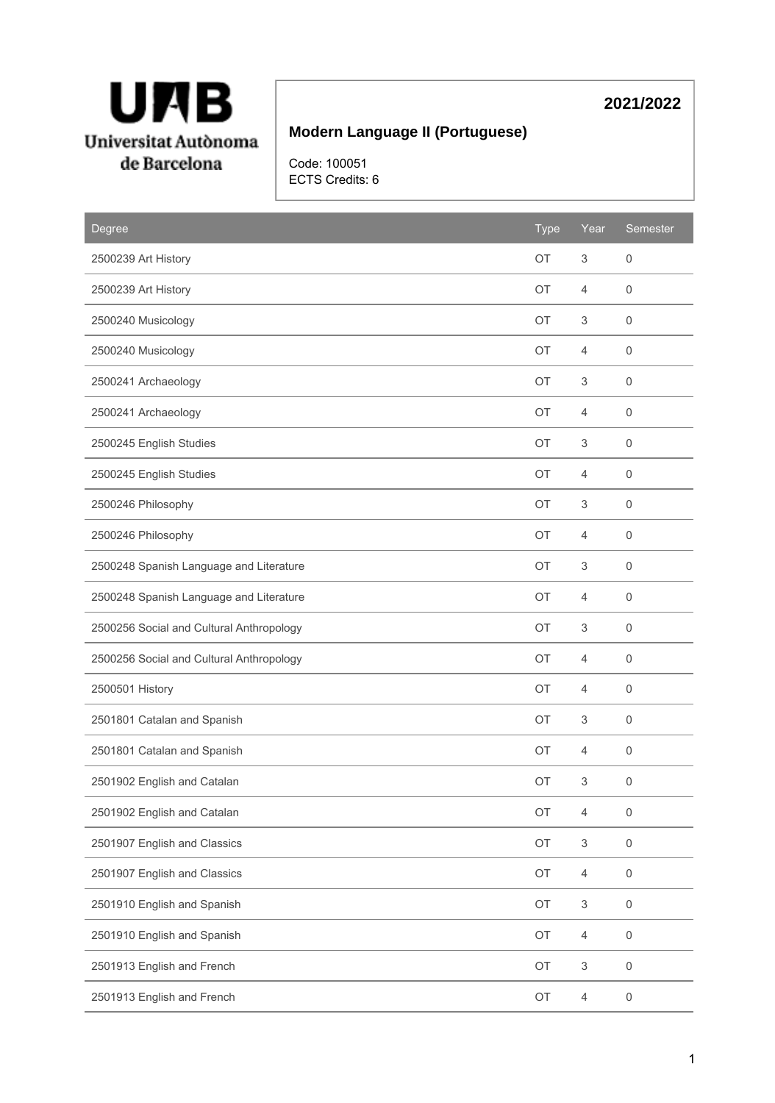

# **Modern Language II (Portuguese)**

Code: 100051 ECTS Credits: 6

| Degree                                   | <b>Type</b> | Year           | Semester            |
|------------------------------------------|-------------|----------------|---------------------|
| 2500239 Art History                      | <b>OT</b>   | 3              | $\mathbf 0$         |
| 2500239 Art History                      | <b>OT</b>   | 4              | 0                   |
| 2500240 Musicology                       | <b>OT</b>   | 3              | $\mathbf 0$         |
| 2500240 Musicology                       | OT          | 4              | $\mathsf{O}\xspace$ |
| 2500241 Archaeology                      | OT          | 3              | $\mathbf 0$         |
| 2500241 Archaeology                      | OT          | 4              | 0                   |
| 2500245 English Studies                  | <b>OT</b>   | 3              | $\mathbf 0$         |
| 2500245 English Studies                  | OT          | 4              | $\mathbf 0$         |
| 2500246 Philosophy                       | OT          | 3              | $\mathbf 0$         |
| 2500246 Philosophy                       | OT          | 4              | 0                   |
| 2500248 Spanish Language and Literature  | OT          | 3              | 0                   |
| 2500248 Spanish Language and Literature  | <b>OT</b>   | 4              | 0                   |
| 2500256 Social and Cultural Anthropology | OT          | 3              | 0                   |
| 2500256 Social and Cultural Anthropology | OT          | 4              | 0                   |
| 2500501 History                          | <b>OT</b>   | 4              | $\mathsf{O}\xspace$ |
| 2501801 Catalan and Spanish              | OT          | 3              | $\mathbf 0$         |
| 2501801 Catalan and Spanish              | <b>OT</b>   | 4              | $\mathsf{O}\xspace$ |
| 2501902 English and Catalan              | ОT          | 3              | $\mathsf{O}\xspace$ |
| 2501902 English and Catalan              | OT          | $\overline{4}$ | $\mathsf{O}\xspace$ |
| 2501907 English and Classics             | OT          | 3              | $\mathsf{O}\xspace$ |
| 2501907 English and Classics             | OT          | $\overline{4}$ | $\mathsf{O}\xspace$ |
| 2501910 English and Spanish              | OT          | 3              | $\mathsf{O}\xspace$ |
| 2501910 English and Spanish              | OT          | $\overline{4}$ | $\mathsf{O}\xspace$ |
| 2501913 English and French               | OT          | 3              | $\mathsf{O}\xspace$ |
| 2501913 English and French               | OT          | $\overline{4}$ | $\mathsf{O}\xspace$ |

# **2021/2022**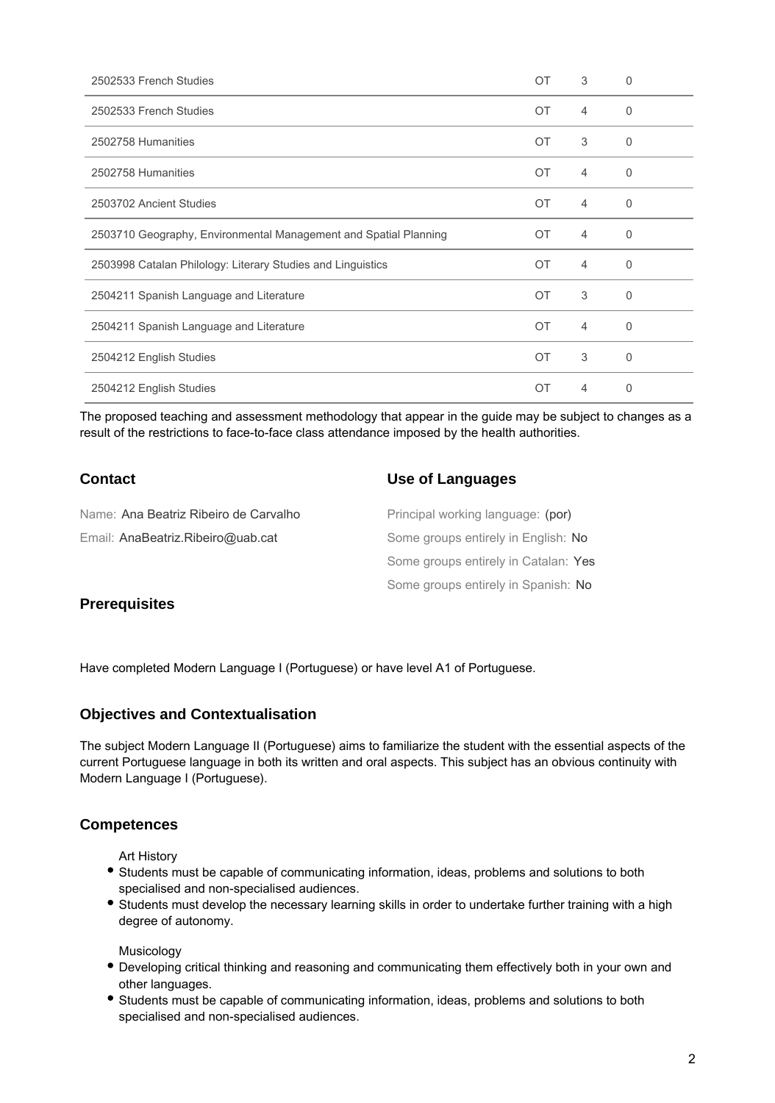| 2502533 French Studies                                           | OT        | 3              | $\mathbf{0}$ |
|------------------------------------------------------------------|-----------|----------------|--------------|
| 2502533 French Studies                                           | <b>OT</b> | $\overline{4}$ | $\Omega$     |
| 2502758 Humanities                                               | <b>OT</b> | 3              | $\mathbf 0$  |
| 2502758 Humanities                                               | <b>OT</b> | 4              | $\Omega$     |
| 2503702 Ancient Studies                                          | <b>OT</b> | $\overline{4}$ | $\mathbf 0$  |
| 2503710 Geography, Environmental Management and Spatial Planning | OT        | 4              | $\Omega$     |
| 2503998 Catalan Philology: Literary Studies and Linguistics      | <b>OT</b> | $\overline{4}$ | 0            |
| 2504211 Spanish Language and Literature                          | <b>OT</b> | 3              | $\mathbf 0$  |
| 2504211 Spanish Language and Literature                          | OT        | $\overline{4}$ | $\Omega$     |
| 2504212 English Studies                                          | <b>OT</b> | 3              | 0            |
| 2504212 English Studies                                          | <b>OT</b> | $\overline{4}$ | $\Omega$     |

The proposed teaching and assessment methodology that appear in the guide may be subject to changes as a result of the restrictions to face-to-face class attendance imposed by the health authorities.

### **Contact**

#### **Use of Languages**

| Name: Ana Beatriz Ribeiro de Carvalho | Principal working language: (por)    |
|---------------------------------------|--------------------------------------|
| Email: AnaBeatriz.Ribeiro@uab.cat     | Some groups entirely in English: No  |
|                                       | Some groups entirely in Catalan: Yes |
|                                       | Some groups entirely in Spanish: No  |

#### **Prerequisites**

Have completed Modern Language I (Portuguese) or have level A1 of Portuguese.

#### **Objectives and Contextualisation**

The subject Modern Language II (Portuguese) aims to familiarize the student with the essential aspects of the current Portuguese language in both its written and oral aspects. This subject has an obvious continuity with Modern Language I (Portuguese).

#### **Competences**

Art History

- Students must be capable of communicating information, ideas, problems and solutions to both specialised and non-specialised audiences.
- Students must develop the necessary learning skills in order to undertake further training with a high degree of autonomy.

Musicology

- Developing critical thinking and reasoning and communicating them effectively both in your own and other languages.
- Students must be capable of communicating information, ideas, problems and solutions to both specialised and non-specialised audiences.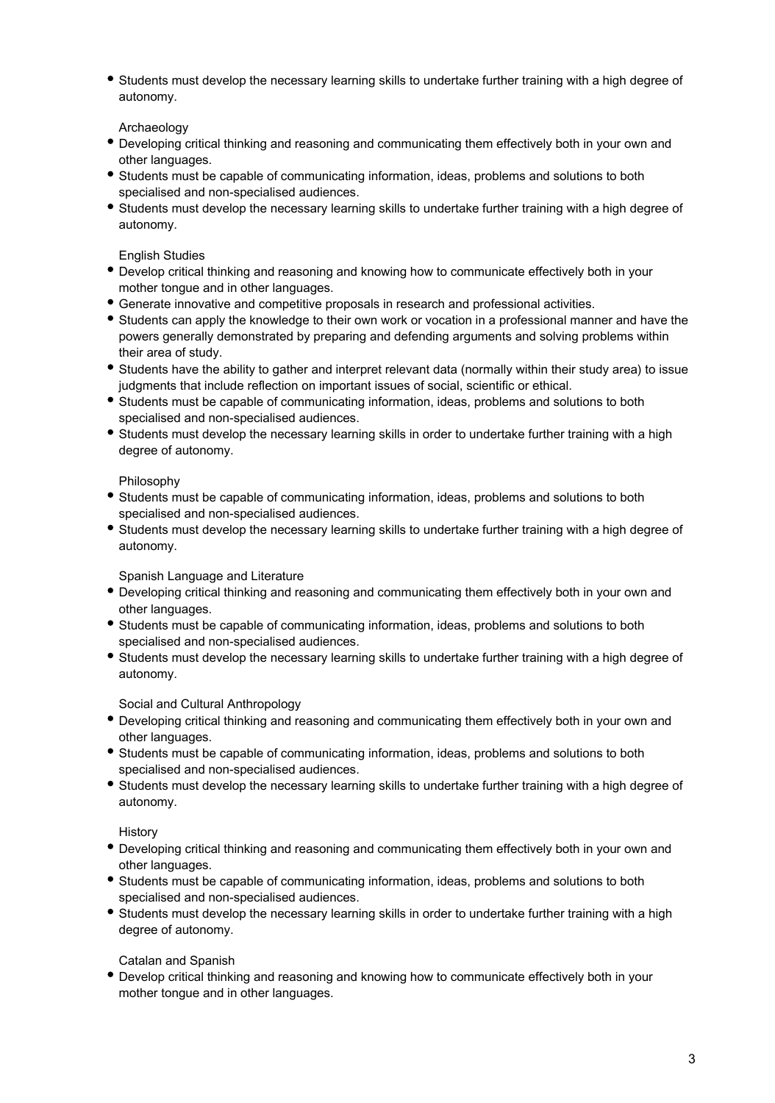Students must develop the necessary learning skills to undertake further training with a high degree of autonomy.

Archaeology

- Developing critical thinking and reasoning and communicating them effectively both in your own and other languages.
- Students must be capable of communicating information, ideas, problems and solutions to both specialised and non-specialised audiences.
- Students must develop the necessary learning skills to undertake further training with a high degree of autonomy.

English Studies

- Develop critical thinking and reasoning and knowing how to communicate effectively both in your mother tongue and in other languages.
- Generate innovative and competitive proposals in research and professional activities.
- Students can apply the knowledge to their own work or vocation in a professional manner and have the powers generally demonstrated by preparing and defending arguments and solving problems within their area of study.
- Students have the ability to gather and interpret relevant data (normally within their study area) to issue judgments that include reflection on important issues of social, scientific or ethical.
- Students must be capable of communicating information, ideas, problems and solutions to both specialised and non-specialised audiences.
- Students must develop the necessary learning skills in order to undertake further training with a high degree of autonomy.

Philosophy

- Students must be capable of communicating information, ideas, problems and solutions to both specialised and non-specialised audiences.
- Students must develop the necessary learning skills to undertake further training with a high degree of autonomy.

Spanish Language and Literature

- Developing critical thinking and reasoning and communicating them effectively both in your own and other languages.
- Students must be capable of communicating information, ideas, problems and solutions to both specialised and non-specialised audiences.
- Students must develop the necessary learning skills to undertake further training with a high degree of autonomy.

Social and Cultural Anthropology

- Developing critical thinking and reasoning and communicating them effectively both in your own and other languages.
- Students must be capable of communicating information, ideas, problems and solutions to both specialised and non-specialised audiences.
- Students must develop the necessary learning skills to undertake further training with a high degree of autonomy.

History

- Developing critical thinking and reasoning and communicating them effectively both in your own and other languages.
- Students must be capable of communicating information, ideas, problems and solutions to both specialised and non-specialised audiences.
- Students must develop the necessary learning skills in order to undertake further training with a high degree of autonomy.

Catalan and Spanish

Develop critical thinking and reasoning and knowing how to communicate effectively both in your mother tongue and in other languages.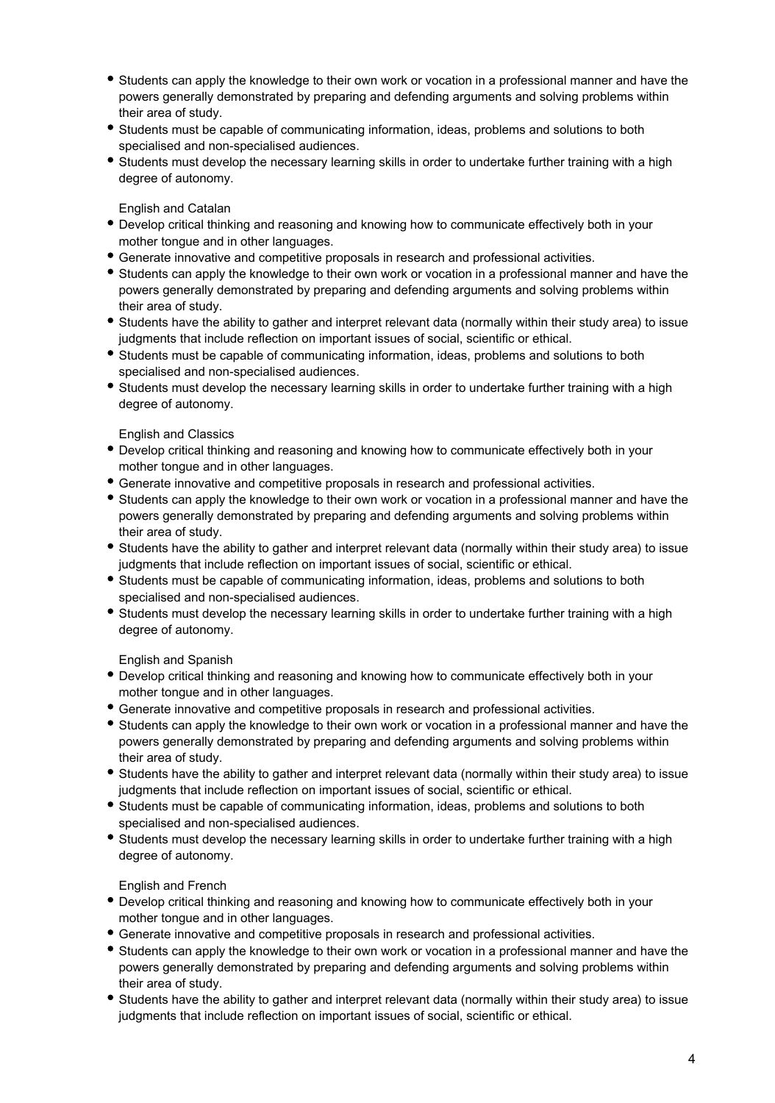- Students can apply the knowledge to their own work or vocation in a professional manner and have the powers generally demonstrated by preparing and defending arguments and solving problems within their area of study.
- Students must be capable of communicating information, ideas, problems and solutions to both specialised and non-specialised audiences.
- Students must develop the necessary learning skills in order to undertake further training with a high degree of autonomy.

English and Catalan

- Develop critical thinking and reasoning and knowing how to communicate effectively both in your mother tongue and in other languages.
- Generate innovative and competitive proposals in research and professional activities.
- Students can apply the knowledge to their own work or vocation in a professional manner and have the powers generally demonstrated by preparing and defending arguments and solving problems within their area of study.
- Students have the ability to gather and interpret relevant data (normally within their study area) to issue judgments that include reflection on important issues of social, scientific or ethical.
- Students must be capable of communicating information, ideas, problems and solutions to both specialised and non-specialised audiences.
- Students must develop the necessary learning skills in order to undertake further training with a high degree of autonomy.

English and Classics

- Develop critical thinking and reasoning and knowing how to communicate effectively both in your mother tongue and in other languages.
- Generate innovative and competitive proposals in research and professional activities.
- Students can apply the knowledge to their own work or vocation in a professional manner and have the powers generally demonstrated by preparing and defending arguments and solving problems within their area of study.
- Students have the ability to gather and interpret relevant data (normally within their study area) to issue judgments that include reflection on important issues of social, scientific or ethical.
- Students must be capable of communicating information, ideas, problems and solutions to both specialised and non-specialised audiences.
- Students must develop the necessary learning skills in order to undertake further training with a high degree of autonomy.

English and Spanish

- Develop critical thinking and reasoning and knowing how to communicate effectively both in your mother tongue and in other languages.
- Generate innovative and competitive proposals in research and professional activities.
- Students can apply the knowledge to their own work or vocation in a professional manner and have the powers generally demonstrated by preparing and defending arguments and solving problems within their area of study.
- Students have the ability to gather and interpret relevant data (normally within their study area) to issue judgments that include reflection on important issues of social, scientific or ethical.
- Students must be capable of communicating information, ideas, problems and solutions to both specialised and non-specialised audiences.
- Students must develop the necessary learning skills in order to undertake further training with a high degree of autonomy.

English and French

- Develop critical thinking and reasoning and knowing how to communicate effectively both in your mother tongue and in other languages.
- Generate innovative and competitive proposals in research and professional activities.
- Students can apply the knowledge to their own work or vocation in a professional manner and have the powers generally demonstrated by preparing and defending arguments and solving problems within their area of study.
- Students have the ability to gather and interpret relevant data (normally within their study area) to issue judgments that include reflection on important issues of social, scientific or ethical.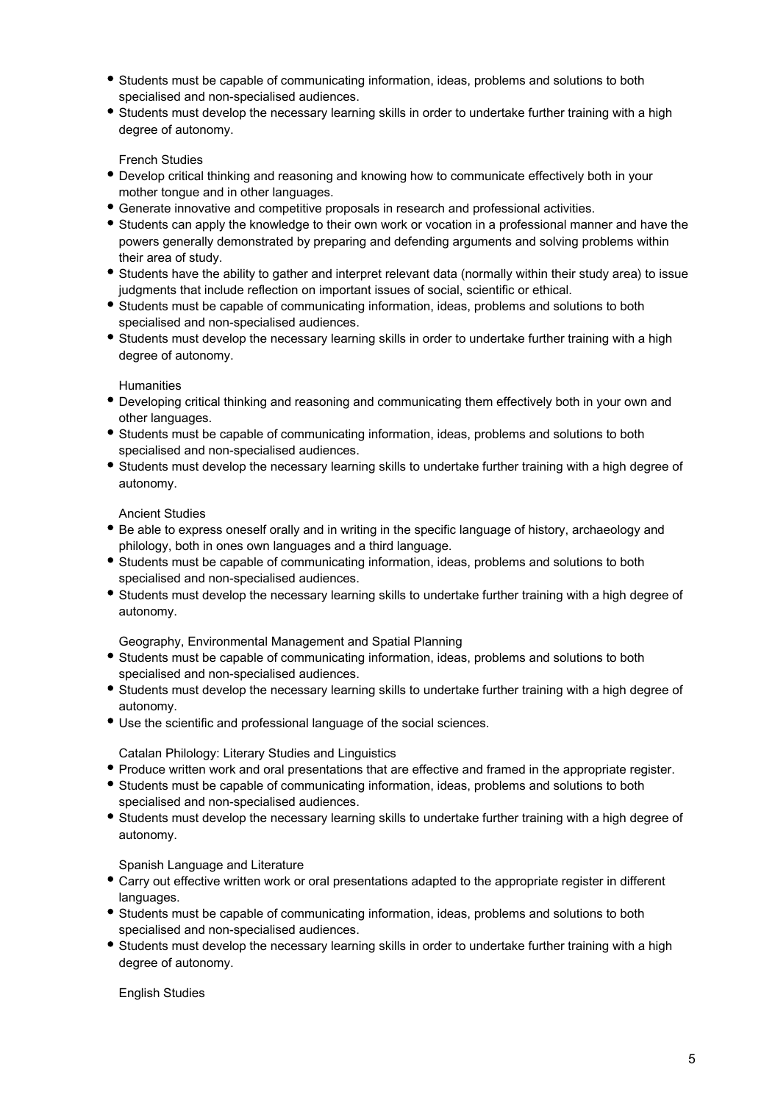- Students must be capable of communicating information, ideas, problems and solutions to both specialised and non-specialised audiences.
- Students must develop the necessary learning skills in order to undertake further training with a high degree of autonomy.

French Studies

- Develop critical thinking and reasoning and knowing how to communicate effectively both in your mother tongue and in other languages.
- Generate innovative and competitive proposals in research and professional activities.
- Students can apply the knowledge to their own work or vocation in a professional manner and have the powers generally demonstrated by preparing and defending arguments and solving problems within their area of study.
- Students have the ability to gather and interpret relevant data (normally within their study area) to issue judgments that include reflection on important issues of social, scientific or ethical.
- Students must be capable of communicating information, ideas, problems and solutions to both specialised and non-specialised audiences.
- Students must develop the necessary learning skills in order to undertake further training with a high degree of autonomy.

**Humanities** 

- Developing critical thinking and reasoning and communicating them effectively both in your own and other languages.
- Students must be capable of communicating information, ideas, problems and solutions to both specialised and non-specialised audiences.
- Students must develop the necessary learning skills to undertake further training with a high degree of autonomy.

Ancient Studies

- Be able to express oneself orally and in writing in the specific language of history, archaeology and philology, both in ones own languages and a third language.
- Students must be capable of communicating information, ideas, problems and solutions to both specialised and non-specialised audiences.
- Students must develop the necessary learning skills to undertake further training with a high degree of autonomy.

Geography, Environmental Management and Spatial Planning

- Students must be capable of communicating information, ideas, problems and solutions to both specialised and non-specialised audiences.
- Students must develop the necessary learning skills to undertake further training with a high degree of autonomy.
- Use the scientific and professional language of the social sciences.

Catalan Philology: Literary Studies and Linguistics

- Produce written work and oral presentations that are effective and framed in the appropriate register.
- Students must be capable of communicating information, ideas, problems and solutions to both specialised and non-specialised audiences.
- Students must develop the necessary learning skills to undertake further training with a high degree of autonomy.

Spanish Language and Literature

- Carry out effective written work or oral presentations adapted to the appropriate register in different languages.
- Students must be capable of communicating information, ideas, problems and solutions to both specialised and non-specialised audiences.
- Students must develop the necessary learning skills in order to undertake further training with a high degree of autonomy.

English Studies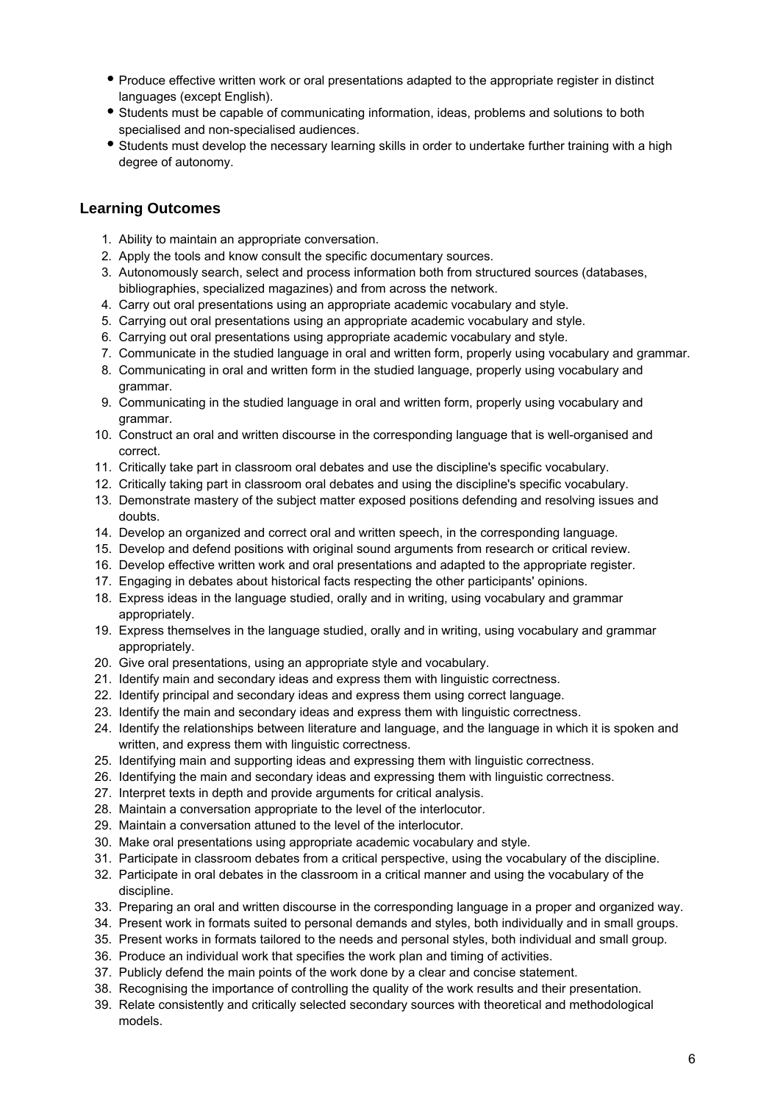- Produce effective written work or oral presentations adapted to the appropriate register in distinct languages (except English).
- Students must be capable of communicating information, ideas, problems and solutions to both specialised and non-specialised audiences.
- Students must develop the necessary learning skills in order to undertake further training with a high degree of autonomy.

### **Learning Outcomes**

- 1. Ability to maintain an appropriate conversation.
- 2. Apply the tools and know consult the specific documentary sources.
- 3. Autonomously search, select and process information both from structured sources (databases, bibliographies, specialized magazines) and from across the network.
- 4. Carry out oral presentations using an appropriate academic vocabulary and style.
- 5. Carrying out oral presentations using an appropriate academic vocabulary and style.
- 6. Carrying out oral presentations using appropriate academic vocabulary and style.
- 7. Communicate in the studied language in oral and written form, properly using vocabulary and grammar.
- 8. Communicating in oral and written form in the studied language, properly using vocabulary and grammar.
- 9. Communicating in the studied language in oral and written form, properly using vocabulary and grammar.
- 10. Construct an oral and written discourse in the corresponding language that is well-organised and correct.
- 11. Critically take part in classroom oral debates and use the discipline's specific vocabulary.
- 12. Critically taking part in classroom oral debates and using the discipline's specific vocabulary.
- 13. Demonstrate mastery of the subject matter exposed positions defending and resolving issues and doubts.
- 14. Develop an organized and correct oral and written speech, in the corresponding language.
- 15. Develop and defend positions with original sound arguments from research or critical review.
- 16. Develop effective written work and oral presentations and adapted to the appropriate register.
- 17. Engaging in debates about historical facts respecting the other participants' opinions.
- 18. Express ideas in the language studied, orally and in writing, using vocabulary and grammar appropriately.
- 19. Express themselves in the language studied, orally and in writing, using vocabulary and grammar appropriately.
- 20. Give oral presentations, using an appropriate style and vocabulary.
- 21. Identify main and secondary ideas and express them with linguistic correctness.
- 22. Identify principal and secondary ideas and express them using correct language.
- 23. Identify the main and secondary ideas and express them with linguistic correctness.
- 24. Identify the relationships between literature and language, and the language in which it is spoken and written, and express them with linguistic correctness.
- 25. Identifying main and supporting ideas and expressing them with linguistic correctness.
- 26. Identifying the main and secondary ideas and expressing them with linguistic correctness.
- 27. Interpret texts in depth and provide arguments for critical analysis.
- 28. Maintain a conversation appropriate to the level of the interlocutor.
- 29. Maintain a conversation attuned to the level of the interlocutor.
- 30. Make oral presentations using appropriate academic vocabulary and style.
- 31. Participate in classroom debates from a critical perspective, using the vocabulary of the discipline.
- 32. Participate in oral debates in the classroom in a critical manner and using the vocabulary of the discipline.
- 33. Preparing an oral and written discourse in the corresponding language in a proper and organized way.
- 34. Present work in formats suited to personal demands and styles, both individually and in small groups.
- 35. Present works in formats tailored to the needs and personal styles, both individual and small group.
- 36. Produce an individual work that specifies the work plan and timing of activities.
- 37. Publicly defend the main points of the work done by a clear and concise statement.
- 38. Recognising the importance of controlling the quality of the work results and their presentation.
- 39. Relate consistently and critically selected secondary sources with theoretical and methodological models.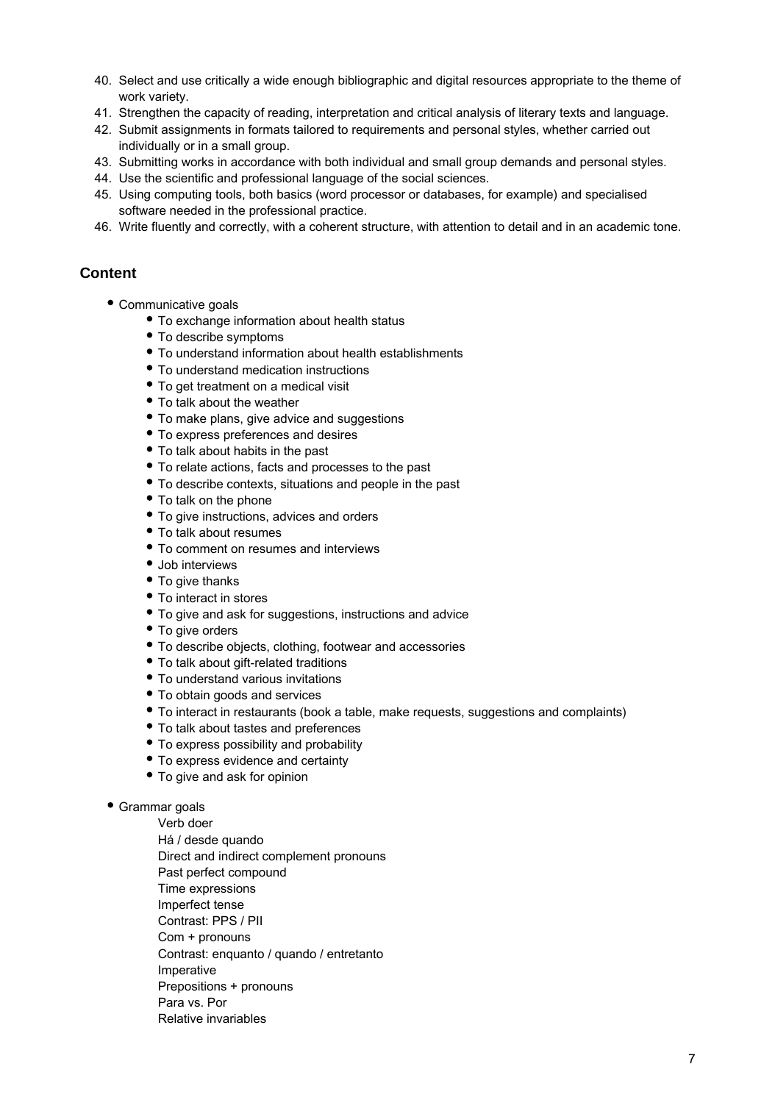- 40. Select and use critically a wide enough bibliographic and digital resources appropriate to the theme of work variety.
- 41. Strengthen the capacity of reading, interpretation and critical analysis of literary texts and language.
- 42. Submit assignments in formats tailored to requirements and personal styles, whether carried out individually or in a small group.
- 43. Submitting works in accordance with both individual and small group demands and personal styles.
- 44. Use the scientific and professional language of the social sciences.
- 45. Using computing tools, both basics (word processor or databases, for example) and specialised software needed in the professional practice.
- 46. Write fluently and correctly, with a coherent structure, with attention to detail and in an academic tone.

### **Content**

- Communicative goals
	- To exchange information about health status
	- To describe symptoms
	- To understand information about health establishments
	- To understand medication instructions
	- To get treatment on a medical visit
	- To talk about the weather
	- To make plans, give advice and suggestions
	- To express preferences and desires
	- To talk about habits in the past
	- To relate actions, facts and processes to the past
	- To describe contexts, situations and people in the past
	- To talk on the phone
	- To give instructions, advices and orders
	- To talk about resumes
	- To comment on resumes and interviews
	- Job interviews
	- To give thanks
	- To interact in stores
	- To give and ask for suggestions, instructions and advice
	- To give orders
	- To describe objects, clothing, footwear and accessories
	- To talk about gift-related traditions
	- To understand various invitations
	- To obtain goods and services
	- To interact in restaurants (book a table, make requests, suggestions and complaints)
	- To talk about tastes and preferences
	- To express possibility and probability
	- To express evidence and certainty
	- To give and ask for opinion

#### Grammar goals

Verb doer Há / desde quando Direct and indirect complement pronouns Past perfect compound Time expressions Imperfect tense Contrast: PPS / PII Com + pronouns Contrast: enquanto / quando / entretanto Imperative Prepositions + pronouns Para vs. Por Relative invariables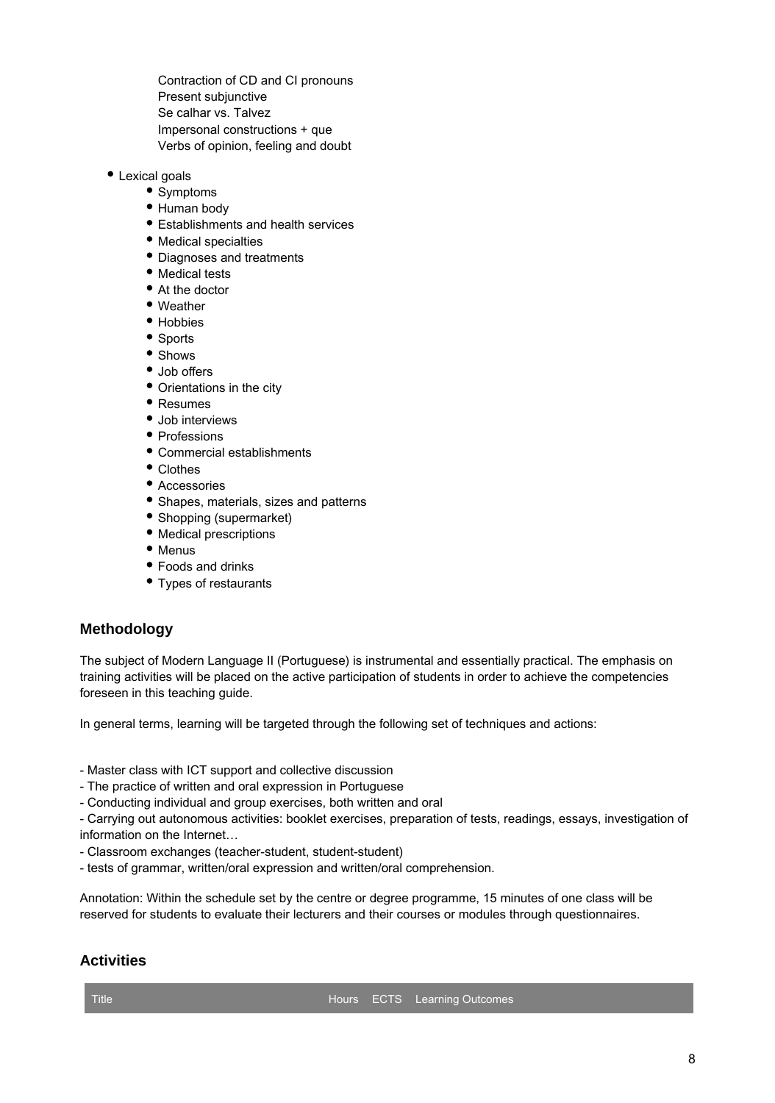Contraction of CD and CI pronouns Present subjunctive Se calhar vs. Talvez Impersonal constructions + que Verbs of opinion, feeling and doubt

- Lexical goals
	- Symptoms
	- Human body
	- Establishments and health services
	- Medical specialties
	- Diagnoses and treatments
	- Medical tests
	- At the doctor
	- Weather
	- Hobbies
	- Sports
	- Shows
	- Job offers
	- Orientations in the city
	- Resumes
	- Job interviews
	- Professions
	- Commercial establishments
	- Clothes
	- Accessories
	- Shapes, materials, sizes and patterns
	- Shopping (supermarket)
	- Medical prescriptions
	- Menus
	- Foods and drinks
	- Types of restaurants

## **Methodology**

The subject of Modern Language II (Portuguese) is instrumental and essentially practical. The emphasis on training activities will be placed on the active participation of students in order to achieve the competencies foreseen in this teaching guide.

In general terms, learning will be targeted through the following set of techniques and actions:

- Master class with ICT support and collective discussion
- The practice of written and oral expression in Portuguese
- Conducting individual and group exercises, both written and oral

- Carrying out autonomous activities: booklet exercises, preparation of tests, readings, essays, investigation of information on the Internet…

- Classroom exchanges (teacher-student, student-student)
- tests of grammar, written/oral expression and written/oral comprehension.

Annotation: Within the schedule set by the centre or degree programme, 15 minutes of one class will be reserved for students to evaluate their lecturers and their courses or modules through questionnaires.

## **Activities**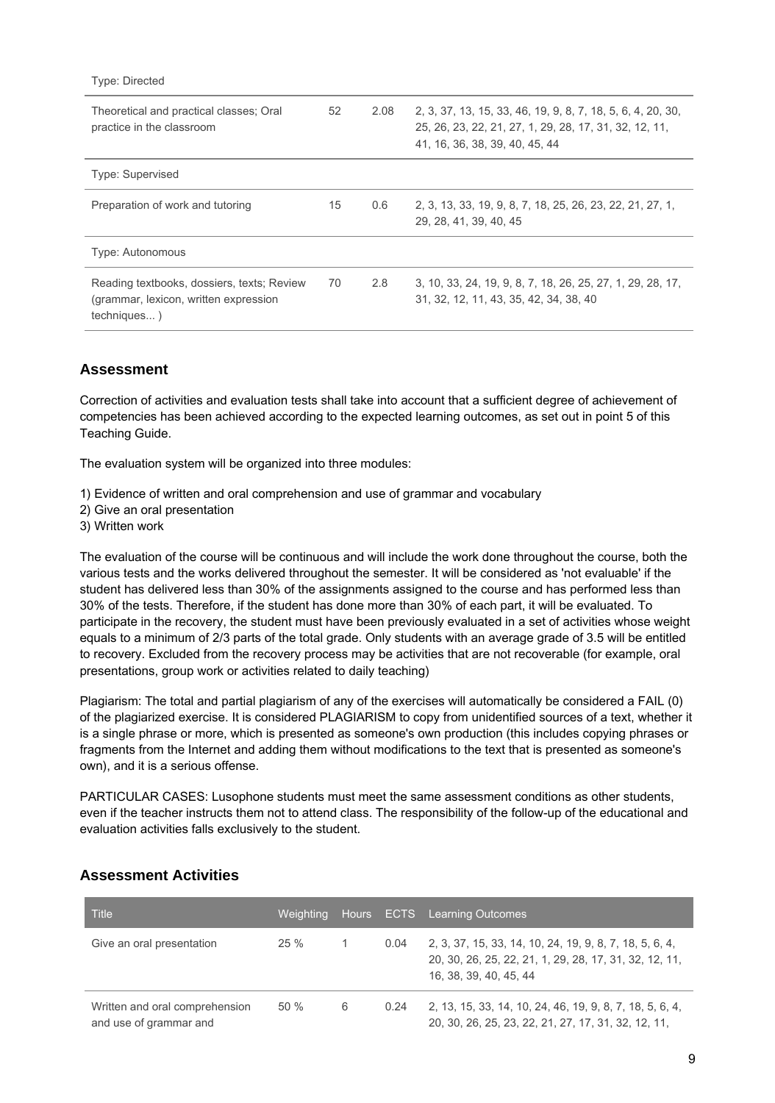| Theoretical and practical classes; Oral<br>practice in the classroom                               | 52 | 2.08 | 2, 3, 37, 13, 15, 33, 46, 19, 9, 8, 7, 18, 5, 6, 4, 20, 30,<br>25, 26, 23, 22, 21, 27, 1, 29, 28, 17, 31, 32, 12, 11,<br>41, 16, 36, 38, 39, 40, 45, 44 |
|----------------------------------------------------------------------------------------------------|----|------|---------------------------------------------------------------------------------------------------------------------------------------------------------|
| <b>Type: Supervised</b>                                                                            |    |      |                                                                                                                                                         |
| Preparation of work and tutoring                                                                   | 15 | 0.6  | 2, 3, 13, 33, 19, 9, 8, 7, 18, 25, 26, 23, 22, 21, 27, 1,<br>29, 28, 41, 39, 40, 45                                                                     |
| Type: Autonomous                                                                                   |    |      |                                                                                                                                                         |
| Reading textbooks, dossiers, texts; Review<br>(grammar, lexicon, written expression<br>techniques) | 70 | 2.8  | 3, 10, 33, 24, 19, 9, 8, 7, 18, 26, 25, 27, 1, 29, 28, 17,<br>31, 32, 12, 11, 43, 35, 42, 34, 38, 40                                                    |

#### **Assessment**

Correction of activities and evaluation tests shall take into account that a sufficient degree of achievement of competencies has been achieved according to the expected learning outcomes, as set out in point 5 of this Teaching Guide.

The evaluation system will be organized into three modules:

- 1) Evidence of written and oral comprehension and use of grammar and vocabulary
- 2) Give an oral presentation
- 3) Written work

The evaluation of the course will be continuous and will include the work done throughout the course, both the various tests and the works delivered throughout the semester. It will be considered as 'not evaluable' if the student has delivered less than 30% of the assignments assigned to the course and has performed less than 30% of the tests. Therefore, if the student has done more than 30% of each part, it will be evaluated. To participate in the recovery, the student must have been previously evaluated in a set of activities whose weight equals to a minimum of 2/3 parts of the total grade. Only students with an average grade of 3.5 will be entitled to recovery. Excluded from the recovery process may be activities that are not recoverable (for example, oral presentations, group work or activities related to daily teaching)

Plagiarism: The total and partial plagiarism of any of the exercises will automatically be considered a FAIL (0) of the plagiarized exercise. It is considered PLAGIARISM to copy from unidentified sources of a text, whether it is a single phrase or more, which is presented as someone's own production (this includes copying phrases or fragments from the Internet and adding them without modifications to the text that is presented as someone's own), and it is a serious offense.

PARTICULAR CASES: Lusophone students must meet the same assessment conditions as other students, even if the teacher instructs them not to attend class. The responsibility of the follow-up of the educational and evaluation activities falls exclusively to the student.

#### **Assessment Activities**

| <b>Title</b>                                             | <b>Weighting</b> |    |      | Hours ECTS Learning Outcomes                                                                                                                |
|----------------------------------------------------------|------------------|----|------|---------------------------------------------------------------------------------------------------------------------------------------------|
| Give an oral presentation                                | 25%              | 1. | 0.04 | 2, 3, 37, 15, 33, 14, 10, 24, 19, 9, 8, 7, 18, 5, 6, 4,<br>20, 30, 26, 25, 22, 21, 1, 29, 28, 17, 31, 32, 12, 11,<br>16, 38, 39, 40, 45, 44 |
| Written and oral comprehension<br>and use of grammar and | 50%              | 6  | 0.24 | 2, 13, 15, 33, 14, 10, 24, 46, 19, 9, 8, 7, 18, 5, 6, 4,<br>20, 30, 26, 25, 23, 22, 21, 27, 17, 31, 32, 12, 11,                             |